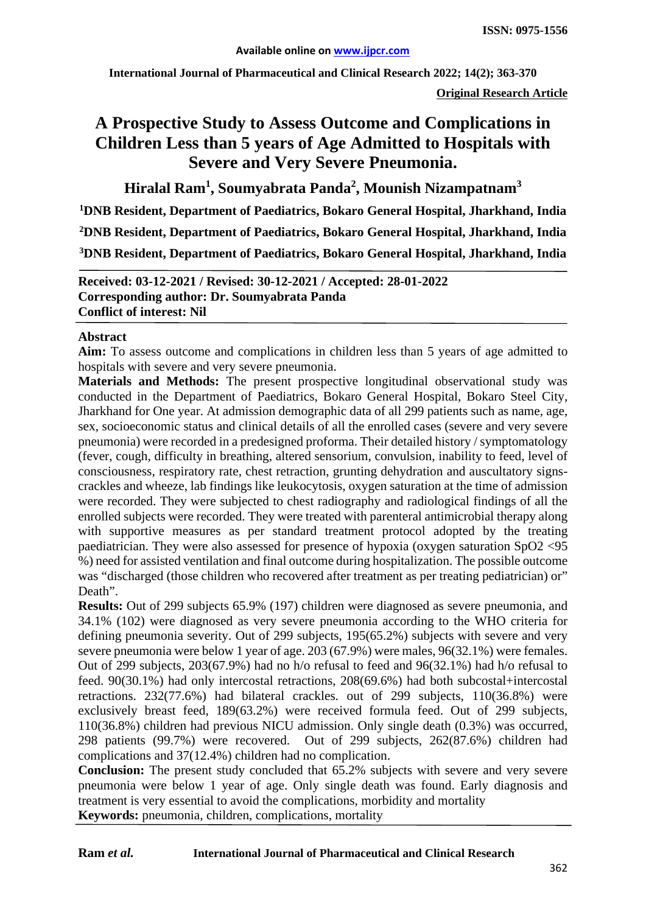**International Journal of Pharmaceutical and Clinical Research 2022; 14(2); 363-370**

**Original Research Article**

# **A Prospective Study to Assess Outcome and Complications in Children Less than 5 years of Age Admitted to Hospitals with Severe and Very Severe Pneumonia.**

**Hiralal Ram1 , Soumyabrata Panda<sup>2</sup> , Mounish Nizampatnam3**

**1 DNB Resident, Department of Paediatrics, Bokaro General Hospital, Jharkhand, India 2 DNB Resident, Department of Paediatrics, Bokaro General Hospital, Jharkhand, India 3DNB Resident, Department of Paediatrics, Bokaro General Hospital, Jharkhand, India**

**Received: 03-12-2021 / Revised: 30-12-2021 / Accepted: 28-01-2022 Corresponding author: Dr. Soumyabrata Panda Conflict of interest: Nil**

#### **Abstract**

**Aim:** To assess outcome and complications in children less than 5 years of age admitted to hospitals with severe and very severe pneumonia.

**Materials and Methods:** The present prospective longitudinal observational study was conducted in the Department of Paediatrics, Bokaro General Hospital, Bokaro Steel City, Jharkhand for One year. At admission demographic data of all 299 patients such as name, age, sex, socioeconomic status and clinical details of all the enrolled cases (severe and very severe pneumonia) were recorded in a predesigned proforma. Their detailed history / symptomatology (fever, cough, difficulty in breathing, altered sensorium, convulsion, inability to feed, level of consciousness, respiratory rate, chest retraction, grunting dehydration and auscultatory signscrackles and wheeze, lab findings like leukocytosis, oxygen saturation at the time of admission were recorded. They were subjected to chest radiography and radiological findings of all the enrolled subjects were recorded. They were treated with parenteral antimicrobial therapy along with supportive measures as per standard treatment protocol adopted by the treating paediatrician. They were also assessed for presence of hypoxia (oxygen saturation SpO2 <95 %) need for assisted ventilation and final outcome during hospitalization. The possible outcome was "discharged (those children who recovered after treatment as per treating pediatrician) or" Death".

**Results:** Out of 299 subjects 65.9% (197) children were diagnosed as severe pneumonia, and 34.1% (102) were diagnosed as very severe pneumonia according to the WHO criteria for defining pneumonia severity. Out of 299 subjects, 195(65.2%) subjects with severe and very severe pneumonia were below 1 year of age. 203 (67.9%) were males, 96(32.1%) were females. Out of 299 subjects, 203(67.9%) had no h/o refusal to feed and 96(32.1%) had h/o refusal to feed. 90(30.1%) had only intercostal retractions, 208(69.6%) had both subcostal+intercostal retractions. 232(77.6%) had bilateral crackles. out of 299 subjects, 110(36.8%) were exclusively breast feed, 189(63.2%) were received formula feed. Out of 299 subjects, 110(36.8%) children had previous NICU admission. Only single death (0.3%) was occurred, 298 patients (99.7%) were recovered. Out of 299 subjects, 262(87.6%) children had complications and 37(12.4%) children had no complication.

**Conclusion:** The present study concluded that 65.2% subjects with severe and very severe pneumonia were below 1 year of age. Only single death was found. Early diagnosis and treatment is very essential to avoid the complications, morbidity and mortality **Keywords:** pneumonia, children, complications, mortality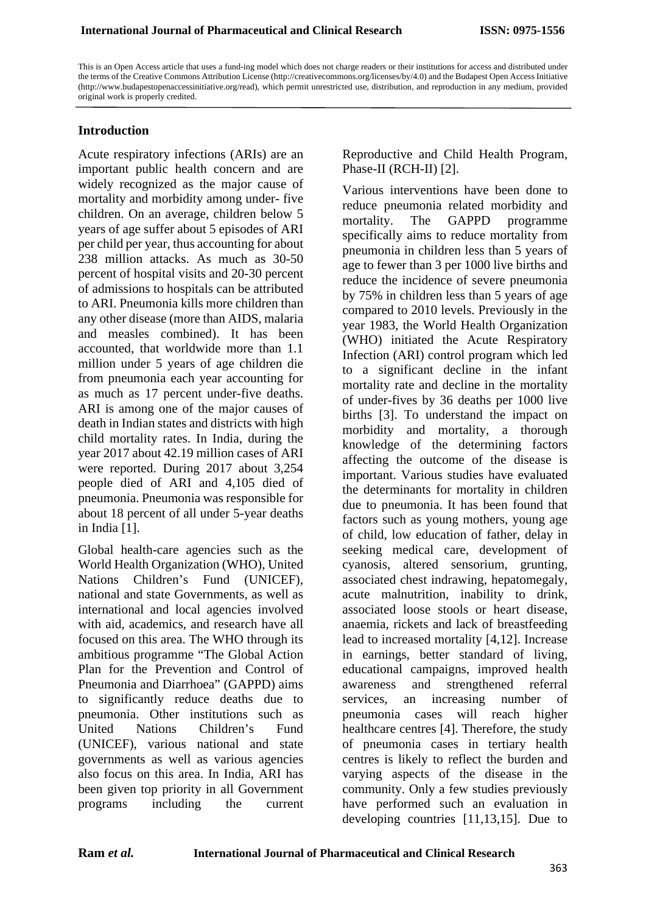This is an Open Access article that uses a fund-ing model which does not charge readers or their institutions for access and distributed under the terms of the Creative Commons Attribution License (http://creativecommons.org/licenses/by/4.0) and the Budapest Open Access Initiative (http://www.budapestopenaccessinitiative.org/read), which permit unrestricted use, distribution, and reproduction in any medium, provided original work is properly credited.

#### **Introduction**

Acute respiratory infections (ARIs) are an important public health concern and are widely recognized as the major cause of mortality and morbidity among under- five children. On an average, children below 5 years of age suffer about 5 episodes of ARI per child per year, thus accounting for about 238 million attacks. As much as 30-50 percent of hospital visits and 20-30 percent of admissions to hospitals can be attributed to ARI. Pneumonia kills more children than any other disease (more than AIDS, malaria and measles combined). It has been accounted, that worldwide more than 1.1 million under 5 years of age children die from pneumonia each year accounting for as much as 17 percent under-five deaths. ARI is among one of the major causes of death in Indian states and districts with high child mortality rates. In India, during the year 2017 about 42.19 million cases of ARI were reported. During 2017 about 3,254 people died of ARI and 4,105 died of pneumonia. Pneumonia was responsible for about 18 percent of all under 5-year deaths in India [1].

Global health-care agencies such as the World Health Organization (WHO), United Nations Children's Fund (UNICEF), national and state Governments, as well as international and local agencies involved with aid, academics, and research have all focused on this area. The WHO through its ambitious programme "The Global Action Plan for the Prevention and Control of Pneumonia and Diarrhoea" (GAPPD) aims to significantly reduce deaths due to pneumonia. Other institutions such as United Nations Children's Fund (UNICEF), various national and state governments as well as various agencies also focus on this area. In India, ARI has been given top priority in all Government programs including the current

Reproductive and Child Health Program, Phase-II (RCH-II) [2].

Various interventions have been done to reduce pneumonia related morbidity and mortality. The GAPPD programme specifically aims to reduce mortality from pneumonia in children less than 5 years of age to fewer than 3 per 1000 live births and reduce the incidence of severe pneumonia by 75% in children less than 5 years of age compared to 2010 levels. Previously in the year 1983, the World Health Organization (WHO) initiated the Acute Respiratory Infection (ARI) control program which led to a significant decline in the infant mortality rate and decline in the mortality of under-fives by 36 deaths per 1000 live births [3]. To understand the impact on morbidity and mortality, a thorough knowledge of the determining factors affecting the outcome of the disease is important. Various studies have evaluated the determinants for mortality in children due to pneumonia. It has been found that factors such as young mothers, young age of child, low education of father, delay in seeking medical care, development of cyanosis, altered sensorium, grunting, associated chest indrawing, hepatomegaly, acute malnutrition, inability to drink, associated loose stools or heart disease, anaemia, rickets and lack of breastfeeding lead to increased mortality [4,12]. Increase in earnings, better standard of living, educational campaigns, improved health awareness and strengthened referral services, an increasing number of pneumonia cases will reach higher healthcare centres [4]. Therefore, the study of pneumonia cases in tertiary health centres is likely to reflect the burden and varying aspects of the disease in the community. Only a few studies previously have performed such an evaluation in developing countries [11,13,15]. Due to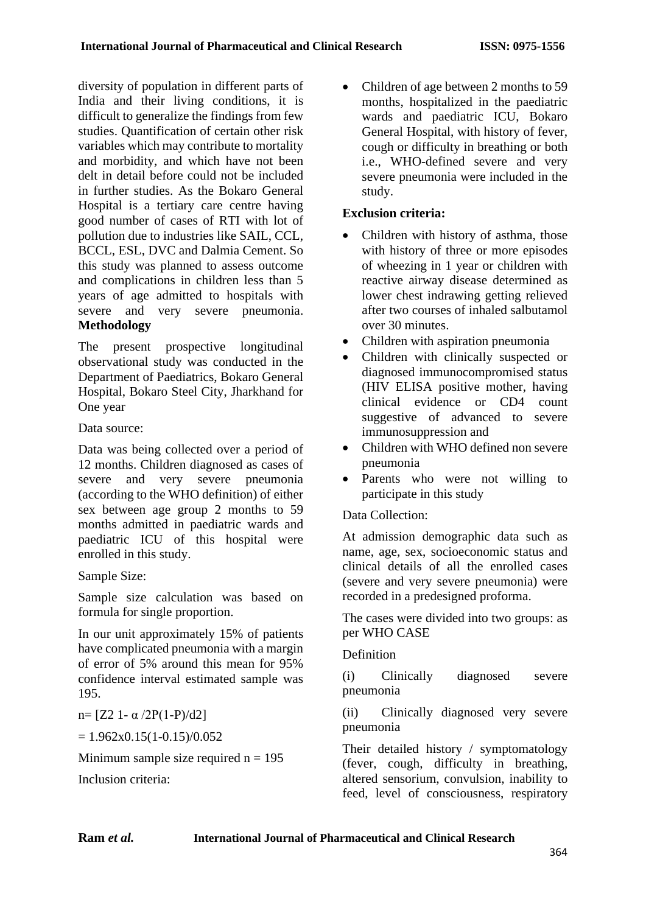diversity of population in different parts of India and their living conditions, it is difficult to generalize the findings from few studies. Quantification of certain other risk variables which may contribute to mortality and morbidity, and which have not been delt in detail before could not be included in further studies. As the Bokaro General Hospital is a tertiary care centre having good number of cases of RTI with lot of pollution due to industries like SAIL, CCL, BCCL, ESL, DVC and Dalmia Cement. So this study was planned to assess outcome and complications in children less than 5 years of age admitted to hospitals with severe and very severe pneumonia. **Methodology**

The present prospective longitudinal observational study was conducted in the Department of Paediatrics, Bokaro General Hospital, Bokaro Steel City, Jharkhand for One year

Data source:

Data was being collected over a period of 12 months. Children diagnosed as cases of severe and very severe pneumonia (according to the WHO definition) of either sex between age group 2 months to 59 months admitted in paediatric wards and paediatric ICU of this hospital were enrolled in this study.

Sample Size:

Sample size calculation was based on formula for single proportion.

In our unit approximately 15% of patients have complicated pneumonia with a margin of error of 5% around this mean for 95% confidence interval estimated sample was 195.

 $n=$  [Z2 1 - α /2P(1 - P)/d2]

 $= 1.962x0.15(1-0.15)/0.052$ 

Minimum sample size required  $n = 195$ 

Inclusion criteria:

• Children of age between 2 months to 59 months, hospitalized in the paediatric wards and paediatric ICU, Bokaro General Hospital, with history of fever, cough or difficulty in breathing or both i.e., WHO-defined severe and very severe pneumonia were included in the study.

# **Exclusion criteria:**

- Children with history of asthma, those with history of three or more episodes of wheezing in 1 year or children with reactive airway disease determined as lower chest indrawing getting relieved after two courses of inhaled salbutamol over 30 minutes.
- Children with aspiration pneumonia
- Children with clinically suspected or diagnosed immunocompromised status (HIV ELISA positive mother, having clinical evidence or CD4 count suggestive of advanced to severe immunosuppression and
- Children with WHO defined non severe pneumonia
- Parents who were not willing to participate in this study

# Data Collection:

At admission demographic data such as name, age, sex, socioeconomic status and clinical details of all the enrolled cases (severe and very severe pneumonia) were recorded in a predesigned proforma.

The cases were divided into two groups: as per WHO CASE

# **Definition**

(i) Clinically diagnosed severe pneumonia

(ii) Clinically diagnosed very severe pneumonia

Their detailed history / symptomatology (fever, cough, difficulty in breathing, altered sensorium, convulsion, inability to feed, level of consciousness, respiratory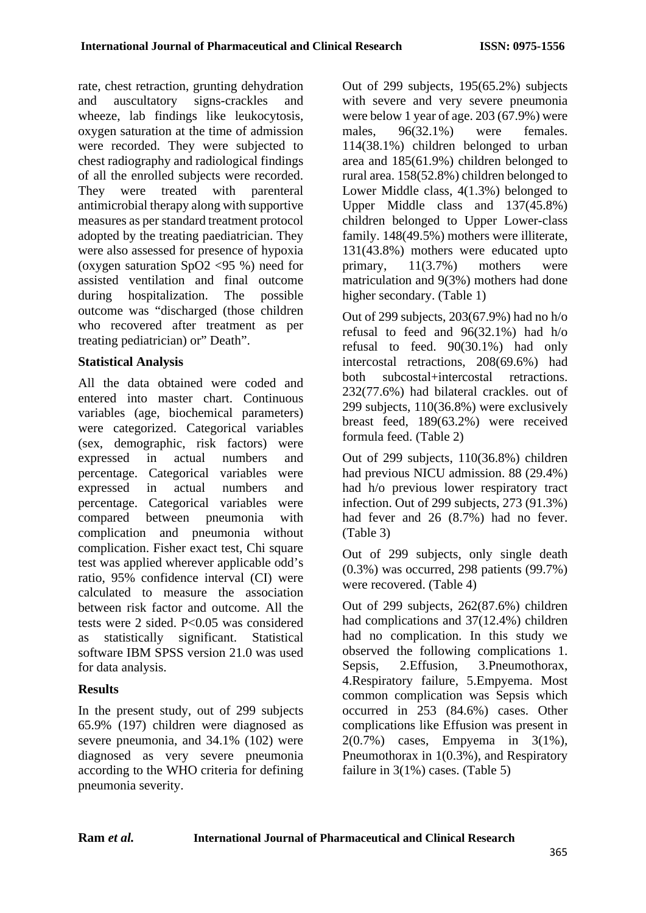rate, chest retraction, grunting dehydration and auscultatory signs-crackles and wheeze, lab findings like leukocytosis, oxygen saturation at the time of admission were recorded. They were subjected to chest radiography and radiological findings of all the enrolled subjects were recorded. They were treated with parenteral antimicrobial therapy along with supportive measures as per standard treatment protocol adopted by the treating paediatrician. They were also assessed for presence of hypoxia (oxygen saturation SpO2 <95 %) need for assisted ventilation and final outcome during hospitalization. The possible outcome was "discharged (those children who recovered after treatment as per treating pediatrician) or" Death".

### **Statistical Analysis**

All the data obtained were coded and entered into master chart. Continuous variables (age, biochemical parameters) were categorized. Categorical variables (sex, demographic, risk factors) were expressed in actual numbers and percentage. Categorical variables were expressed in actual numbers and percentage. Categorical variables were compared between pneumonia with complication and pneumonia without complication. Fisher exact test, Chi square test was applied wherever applicable odd's ratio, 95% confidence interval (CI) were calculated to measure the association between risk factor and outcome. All the tests were 2 sided. P<0.05 was considered as statistically significant. Statistical software IBM SPSS version 21.0 was used for data analysis.

# **Results**

In the present study, out of 299 subjects 65.9% (197) children were diagnosed as severe pneumonia, and 34.1% (102) were diagnosed as very severe pneumonia according to the WHO criteria for defining pneumonia severity.

Out of 299 subjects, 195(65.2%) subjects with severe and very severe pneumonia were below 1 year of age. 203 (67.9%) were males, 96(32.1%) were females. 114(38.1%) children belonged to urban area and 185(61.9%) children belonged to rural area. 158(52.8%) children belonged to Lower Middle class, 4(1.3%) belonged to Upper Middle class and 137(45.8%) children belonged to Upper Lower-class family. 148(49.5%) mothers were illiterate, 131(43.8%) mothers were educated upto primary, 11(3.7%) mothers were matriculation and 9(3%) mothers had done higher secondary. (Table 1)

Out of 299 subjects, 203(67.9%) had no h/o refusal to feed and 96(32.1%) had h/o refusal to feed. 90(30.1%) had only intercostal retractions, 208(69.6%) had both subcostal+intercostal retractions. 232(77.6%) had bilateral crackles. out of 299 subjects, 110(36.8%) were exclusively breast feed, 189(63.2%) were received formula feed. (Table 2)

Out of 299 subjects, 110(36.8%) children had previous NICU admission. 88 (29.4%) had h/o previous lower respiratory tract infection. Out of 299 subjects, 273 (91.3%) had fever and 26 (8.7%) had no fever. (Table 3)

Out of 299 subjects, only single death (0.3%) was occurred, 298 patients (99.7%) were recovered. (Table 4)

Out of 299 subjects, 262(87.6%) children had complications and 37(12.4%) children had no complication. In this study we observed the following complications 1. Sepsis, 2.Effusion, 3.Pneumothorax, 4.Respiratory failure, 5.Empyema. Most common complication was Sepsis which occurred in 253 (84.6%) cases. Other complications like Effusion was present in 2(0.7%) cases, Empyema in 3(1%), Pneumothorax in 1(0.3%), and Respiratory failure in 3(1%) cases. (Table 5)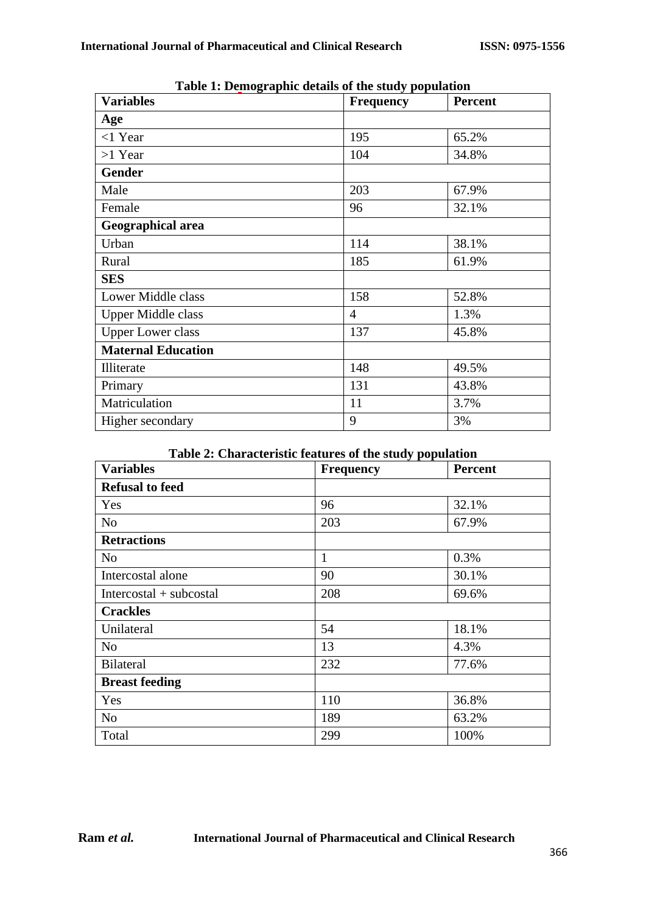| <b>Variables</b>          | <b>Frequency</b> | <b>Percent</b> |
|---------------------------|------------------|----------------|
| Age                       |                  |                |
| $<$ 1 Year                | 195              | 65.2%          |
| $>1$ Year                 | 104              | 34.8%          |
| Gender                    |                  |                |
| Male                      | 203              | 67.9%          |
| Female                    | 96               | 32.1%          |
| Geographical area         |                  |                |
| Urban                     | 114              | 38.1%          |
| Rural                     | 185              | 61.9%          |
| <b>SES</b>                |                  |                |
| Lower Middle class        | 158              | 52.8%          |
| <b>Upper Middle class</b> | $\overline{4}$   | 1.3%           |
| <b>Upper Lower class</b>  | 137              | 45.8%          |
| <b>Maternal Education</b> |                  |                |
| Illiterate                | 148              | 49.5%          |
| Primary                   | 131              | 43.8%          |
| Matriculation             | 11               | 3.7%           |
| Higher secondary          | 9                | 3%             |

**Table 1: Demographic details of the study population**

#### **Table 2: Characteristic features of the study population**

| <b>Variables</b>          | <b>Frequency</b> | <b>Percent</b> |
|---------------------------|------------------|----------------|
| <b>Refusal to feed</b>    |                  |                |
| Yes                       | 96               | 32.1%          |
| N <sub>o</sub>            | 203              | 67.9%          |
| <b>Retractions</b>        |                  |                |
| N <sub>o</sub>            | $\mathbf{1}$     | 0.3%           |
| Intercostal alone         | 90               | 30.1%          |
| $Intercostal + subcostal$ | 208              | 69.6%          |
| <b>Crackles</b>           |                  |                |
| Unilateral                | 54               | 18.1%          |
| N <sub>0</sub>            | 13               | 4.3%           |
| <b>Bilateral</b>          | 232              | 77.6%          |
| <b>Breast feeding</b>     |                  |                |
| Yes                       | 110              | 36.8%          |
| N <sub>0</sub>            | 189              | 63.2%          |
| Total                     | 299              | 100%           |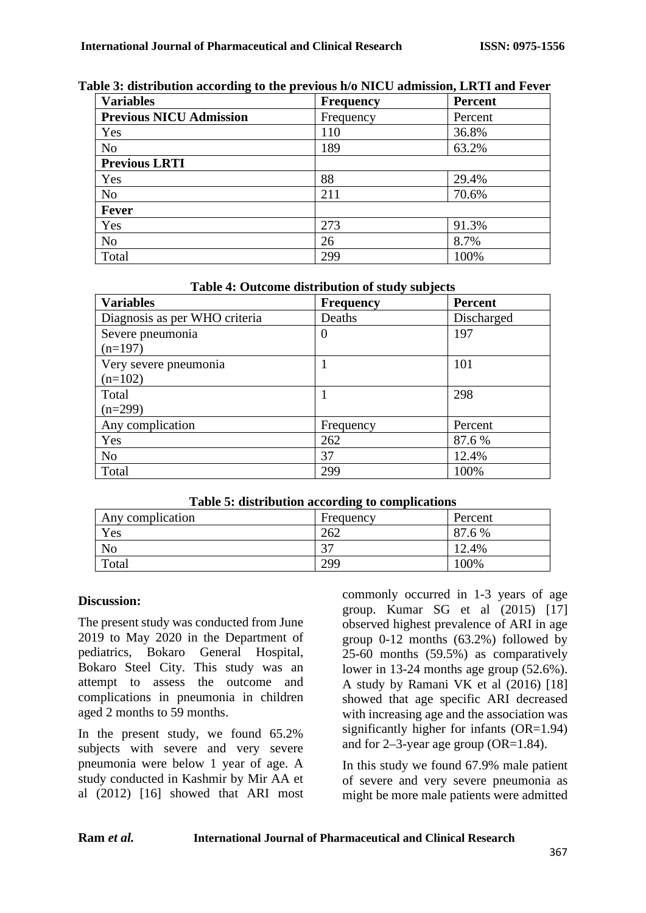| <b>Variables</b>               | <b>Frequency</b> | <b>Percent</b> |
|--------------------------------|------------------|----------------|
| <b>Previous NICU Admission</b> | Frequency        | Percent        |
| Yes                            | 110              | 36.8%          |
| N <sub>o</sub>                 | 189              | 63.2%          |
| <b>Previous LRTI</b>           |                  |                |
| Yes                            | 88               | 29.4%          |
| N <sub>o</sub>                 | 211              | 70.6%          |
| Fever                          |                  |                |
| Yes                            | 273              | 91.3%          |
| N <sub>o</sub>                 | 26               | 8.7%           |
| Total                          | 299              | 100%           |

#### **Table 3: distribution according to the previous h/o NICU admission, LRTI and Fever**

#### **Table 4: Outcome distribution of study subjects**

| <b>Variables</b>              | <b>Frequency</b> | Percent    |
|-------------------------------|------------------|------------|
| Diagnosis as per WHO criteria | Deaths           | Discharged |
| Severe pneumonia              | $\theta$         | 197        |
| $(n=197)$                     |                  |            |
| Very severe pneumonia         |                  | 101        |
| $(n=102)$                     |                  |            |
| Total                         |                  | 298        |
| $(n=299)$                     |                  |            |
| Any complication              | Frequency        | Percent    |
| Yes                           | 262              | 87.6 %     |
| N <sub>o</sub>                | 37               | 12.4%      |
| Total                         | 299              | 100%       |

#### **Table 5: distribution according to complications**

| Any complication | Frequency | Percent |
|------------------|-----------|---------|
| Yes              | 262       | 87.6 %  |
| No               | $\cap$    | 12.4%   |
| Total            | 299       | $00\%$  |

### **Discussion:**

The present study was conducted from June 2019 to May 2020 in the Department of pediatrics, Bokaro General Hospital, Bokaro Steel City. This study was an attempt to assess the outcome and complications in pneumonia in children aged 2 months to 59 months.

In the present study, we found 65.2% subjects with severe and very severe pneumonia were below 1 year of age. A study conducted in Kashmir by Mir AA et al (2012) [16] showed that ARI most commonly occurred in 1-3 years of age group. Kumar SG et al (2015) [17] observed highest prevalence of ARI in age group 0-12 months (63.2%) followed by 25-60 months (59.5%) as comparatively lower in 13-24 months age group (52.6%). A study by Ramani VK et al (2016) [18] showed that age specific ARI decreased with increasing age and the association was significantly higher for infants (OR=1.94) and for 2–3-year age group (OR=1.84).

In this study we found 67.9% male patient of severe and very severe pneumonia as might be more male patients were admitted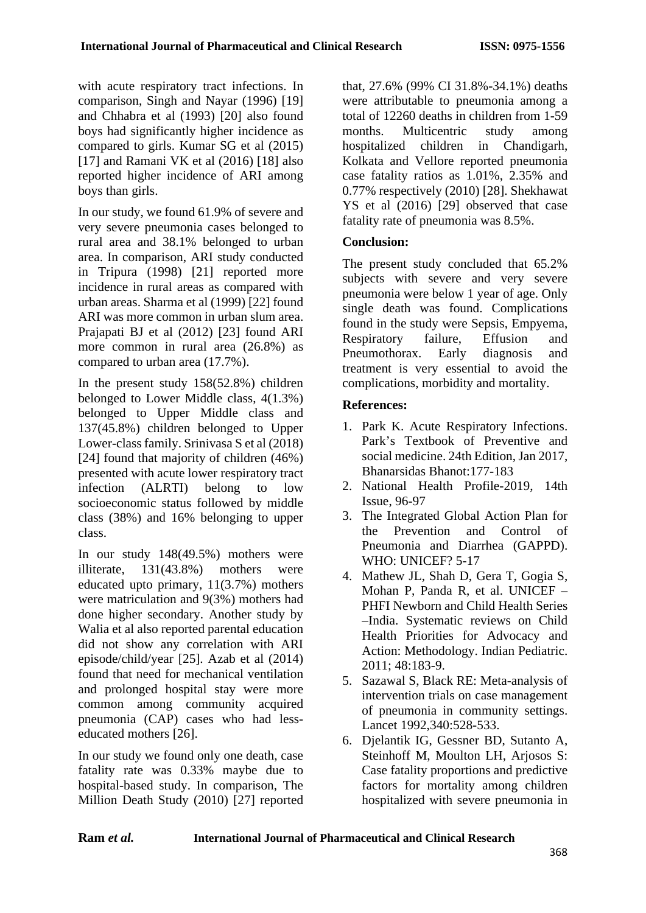with acute respiratory tract infections. In comparison, Singh and Nayar (1996) [19] and Chhabra et al (1993) [20] also found boys had significantly higher incidence as compared to girls. Kumar SG et al (2015) [17] and Ramani VK et al (2016) [18] also reported higher incidence of ARI among boys than girls.

In our study, we found 61.9% of severe and very severe pneumonia cases belonged to rural area and 38.1% belonged to urban area. In comparison, ARI study conducted in Tripura (1998) [21] reported more incidence in rural areas as compared with urban areas. Sharma et al (1999) [22] found ARI was more common in urban slum area. Prajapati BJ et al (2012) [23] found ARI more common in rural area (26.8%) as compared to urban area (17.7%).

In the present study 158(52.8%) children belonged to Lower Middle class, 4(1.3%) belonged to Upper Middle class and 137(45.8%) children belonged to Upper Lower-class family. Srinivasa S et al (2018) [24] found that majority of children (46%) presented with acute lower respiratory tract infection (ALRTI) belong to low socioeconomic status followed by middle class (38%) and 16% belonging to upper class.

In our study 148(49.5%) mothers were illiterate, 131(43.8%) mothers were educated upto primary, 11(3.7%) mothers were matriculation and 9(3%) mothers had done higher secondary. Another study by Walia et al also reported parental education did not show any correlation with ARI episode/child/year [25]. Azab et al (2014) found that need for mechanical ventilation and prolonged hospital stay were more common among community acquired pneumonia (CAP) cases who had lesseducated mothers [26].

In our study we found only one death, case fatality rate was 0.33% maybe due to hospital-based study. In comparison, The Million Death Study (2010) [27] reported that, 27.6% (99% CI 31.8%-34.1%) deaths were attributable to pneumonia among a total of 12260 deaths in children from 1-59 months. Multicentric study among hospitalized children in Chandigarh, Kolkata and Vellore reported pneumonia case fatality ratios as 1.01%, 2.35% and 0.77% respectively (2010) [28]. Shekhawat YS et al (2016) [29] observed that case fatality rate of pneumonia was 8.5%.

### **Conclusion:**

The present study concluded that 65.2% subjects with severe and very severe pneumonia were below 1 year of age. Only single death was found. Complications found in the study were Sepsis, Empyema, Respiratory failure, Effusion and Pneumothorax. Early diagnosis and treatment is very essential to avoid the complications, morbidity and mortality.

### **References:**

- 1. Park K. Acute Respiratory Infections. Park's Textbook of Preventive and social medicine. 24th Edition, Jan 2017, Bhanarsidas Bhanot:177-183
- 2. National Health Profile-2019, 14th Issue, 96-97
- 3. The Integrated Global Action Plan for the Prevention and Control of Pneumonia and Diarrhea (GAPPD). WHO: UNICEF? 5-17
- 4. Mathew JL, Shah D, Gera T, Gogia S, Mohan P, Panda R, et al. UNICEF – PHFI Newborn and Child Health Series –India. Systematic reviews on Child Health Priorities for Advocacy and Action: Methodology. Indian Pediatric. 2011; 48:183-9.
- 5. Sazawal S, Black RE: Meta-analysis of intervention trials on case management of pneumonia in community settings. Lancet 1992,340:528-533.
- 6. Djelantik IG, Gessner BD, Sutanto A, Steinhoff M, Moulton LH, Arjosos S: Case fatality proportions and predictive factors for mortality among children hospitalized with severe pneumonia in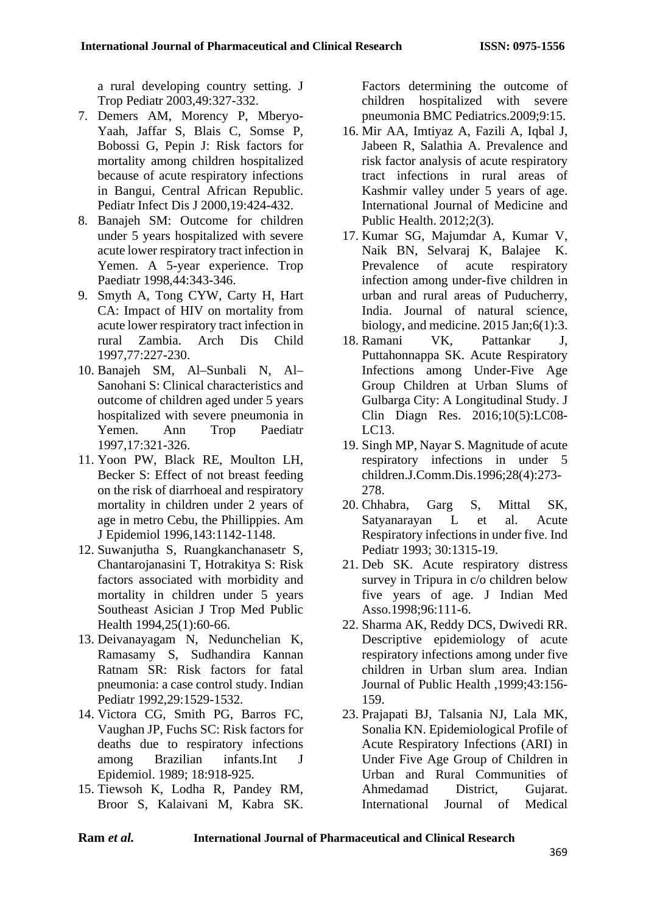a rural developing country setting. J Trop Pediatr 2003,49:327-332.

- 7. Demers AM, Morency P, Mberyo-Yaah, Jaffar S, Blais C, Somse P, Bobossi G, Pepin J: Risk factors for mortality among children hospitalized because of acute respiratory infections in Bangui, Central African Republic. Pediatr Infect Dis J 2000,19:424-432.
- 8. Banajeh SM: Outcome for children under 5 years hospitalized with severe acute lower respiratory tract infection in Yemen. A 5-year experience. Trop Paediatr 1998,44:343-346.
- 9. Smyth A, Tong CYW, Carty H, Hart CA: Impact of HIV on mortality from acute lower respiratory tract infection in<br>
rural Zambia Arch Dis Child rural Zambia. Arch Dis Child 1997,77:227-230.
- 10. Banajeh SM, Al–Sunbali N, Al– Sanohani S: Clinical characteristics and outcome of children aged under 5 years hospitalized with severe pneumonia in Yemen. Ann Trop Paediatr 1997,17:321-326.
- 11. Yoon PW, Black RE, Moulton LH, Becker S: Effect of not breast feeding on the risk of diarrhoeal and respiratory mortality in children under 2 years of age in metro Cebu, the Phillippies. Am J Epidemiol 1996,143:1142-1148.
- 12. Suwanjutha S, Ruangkanchanasetr S, Chantarojanasini T, Hotrakitya S: Risk factors associated with morbidity and mortality in children under 5 years Southeast Asician J Trop Med Public Health 1994,25(1):60-66.
- 13. Deivanayagam N, Nedunchelian K, Ramasamy S, Sudhandira Kannan Ratnam SR: Risk factors for fatal pneumonia: a case control study. Indian Pediatr 1992,29:1529-1532.
- 14. Victora CG, Smith PG, Barros FC, Vaughan JP, Fuchs SC: Risk factors for deaths due to respiratory infections among Brazilian infants.Int J Epidemiol. 1989; 18:918-925.
- 15. Tiewsoh K, Lodha R, Pandey RM, Broor S, Kalaivani M, Kabra SK.

Factors determining the outcome of children hospitalized with severe pneumonia BMC Pediatrics.2009;9:15.

- 16. Mir AA, Imtiyaz A, Fazili A, Iqbal J, Jabeen R, Salathia A. Prevalence and risk factor analysis of acute respiratory tract infections in rural areas of Kashmir valley under 5 years of age. International Journal of Medicine and Public Health. 2012;2(3).
- 17. Kumar SG, Majumdar A, Kumar V, Naik BN, Selvaraj K, Balajee K. Prevalence of acute respiratory infection among under-five children in urban and rural areas of Puducherry, India. Journal of natural science, biology, and medicine. 2015 Jan;6(1):3.
- 18. Ramani VK, Pattankar J, Puttahonnappa SK. Acute Respiratory Infections among Under-Five Age Group Children at Urban Slums of Gulbarga City: A Longitudinal Study. J Clin Diagn Res. 2016;10(5):LC08- LC13.
- 19. Singh MP, Nayar S. Magnitude of acute respiratory infections in under 5 children.J.Comm.Dis.1996;28(4):273- 278.
- 20. Chhabra, Garg S, Mittal SK, Satyanarayan L et al. Acute Respiratory infections in under five. Ind Pediatr 1993; 30:1315-19.
- 21. Deb SK. Acute respiratory distress survey in Tripura in c/o children below five years of age. J Indian Med Asso.1998;96:111-6.
- 22. Sharma AK, Reddy DCS, Dwivedi RR. Descriptive epidemiology of acute respiratory infections among under five children in Urban slum area. Indian Journal of Public Health ,1999;43:156- 159.
- 23. Prajapati BJ, Talsania NJ, Lala MK, Sonalia KN. Epidemiological Profile of Acute Respiratory Infections (ARI) in Under Five Age Group of Children in Urban and Rural Communities of Ahmedamad District, Gujarat. International Journal of Medical